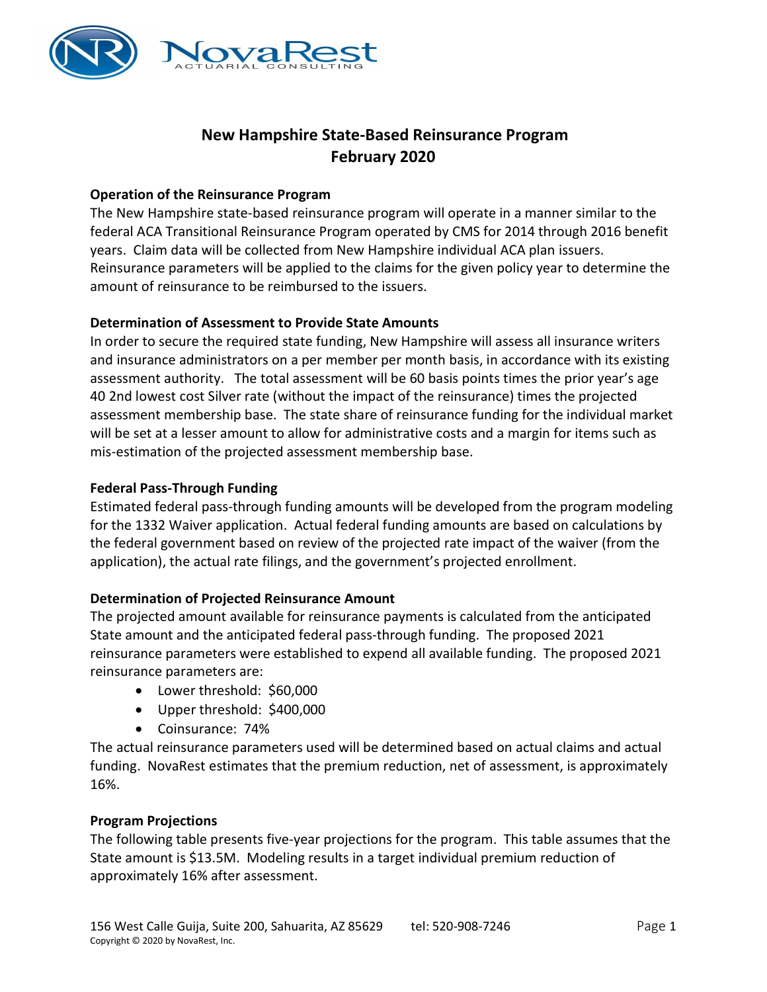

# New Hampshire State-Based Reinsurance Program February 2020

### Operation of the Reinsurance Program

The New Hampshire state-based reinsurance program will operate in a manner similar to the federal ACA Transitional Reinsurance Program operated by CMS for 2014 through 2016 benefit years. Claim data will be collected from New Hampshire individual ACA plan issuers. Reinsurance parameters will be applied to the claims for the given policy year to determine the amount of reinsurance to be reimbursed to the issuers.

## Determination of Assessment to Provide State Amounts

In order to secure the required state funding, New Hampshire will assess all insurance writers and insurance administrators on a per member per month basis, in accordance with its existing assessment authority. The total assessment will be 60 basis points times the prior year's age 40 2nd lowest cost Silver rate (without the impact of the reinsurance) times the projected assessment membership base. The state share of reinsurance funding for the individual market will be set at a lesser amount to allow for administrative costs and a margin for items such as mis-estimation of the projected assessment membership base.

#### Federal Pass-Through Funding

Estimated federal pass-through funding amounts will be developed from the program modeling for the 1332 Waiver application. Actual federal funding amounts are based on calculations by the federal government based on review of the projected rate impact of the waiver (from the application), the actual rate filings, and the government's projected enrollment.

#### Determination of Projected Reinsurance Amount

The projected amount available for reinsurance payments is calculated from the anticipated State amount and the anticipated federal pass-through funding. The proposed 2021 reinsurance parameters were established to expend all available funding. The proposed 2021 reinsurance parameters are:

- Lower threshold: \$60,000
- Upper threshold: \$400,000
- Coinsurance: 74%

The actual reinsurance parameters used will be determined based on actual claims and actual funding. NovaRest estimates that the premium reduction, net of assessment, is approximately 16%.

#### Program Projections

The following table presents five-year projections for the program. This table assumes that the State amount is \$13.5M. Modeling results in a target individual premium reduction of approximately 16% after assessment.